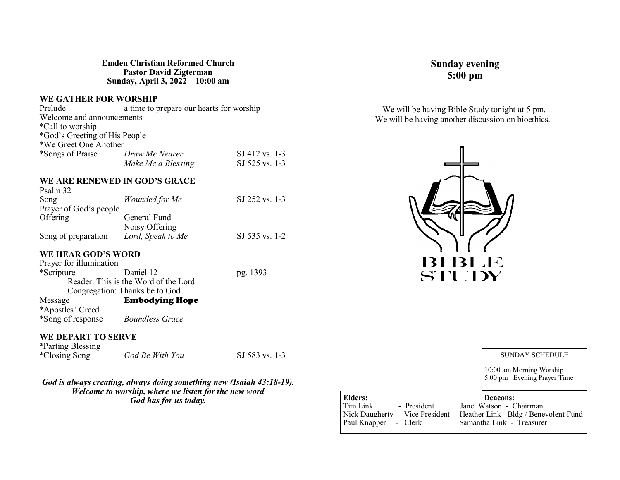#### **Emden Christian Reformed Church Pastor David Zigterman Sunday, April 3, 2022 10:00 am**

#### **WE GATHER FOR WORSHIP**

| Prelude                       | a time to prepare our hearts for worship |                |
|-------------------------------|------------------------------------------|----------------|
| Welcome and announcements     |                                          |                |
| *Call to worship              |                                          |                |
| *God's Greeting of His People |                                          |                |
| *We Greet One Another         |                                          |                |
| *Songs of Praise              | Draw Me Nearer                           | SJ 412 vs. 1-3 |
|                               | Make Me a Blessing                       | SJ 525 vs. 1-3 |

#### **WE ARE RENEWED IN GOD'S GRACE**   $P_{\text{sub}}$   $\sim$   $22$

| SJ 252 vs. 1-3 |
|----------------|
|                |
|                |
|                |
| SJ 535 vs. 1-2 |
|                |

#### **WE HEAR GOD'S WORD**

| Prayer for illumination |                                      |          |
|-------------------------|--------------------------------------|----------|
| *Scripture              | Daniel 12                            | pg. 1393 |
|                         | Reader: This is the Word of the Lord |          |
|                         | Congregation: Thanks be to God       |          |
| Message                 | <b>Embodying Hope</b>                |          |
| *Apostles' Creed        |                                      |          |
| *Song of response       | <b>Boundless Grace</b>               |          |

#### **WE DEPART TO SERVE**

| <i>*Parting Blessing</i> |                 |                |
|--------------------------|-----------------|----------------|
| <i>*Closing Song</i>     | God Be With You | SJ 583 vs. 1-3 |

#### *God is always creating, always doing something new (Isaiah 43:18-19). Welcome to worship, where we listen for the new word God has for us today.*

# **Sunday evening 5:00 pm**

We will be having Bible Study tonight at 5 pm. We will be having another discussion on bioethics.



|                                 | <b>SUNDAY SCHEDULE</b>                                  |
|---------------------------------|---------------------------------------------------------|
|                                 | 10:00 am Morning Worship<br>5:00 pm Evening Prayer Time |
| Elders:                         | Deacons:                                                |
| Tim Link<br>- President         | Janel Watson - Chairman                                 |
| Nick Daugherty - Vice President | Heather Link - Bldg / Benevolent Fund                   |
|                                 |                                                         |
| Paul Knapper - Clerk            | Samantha Link - Treasurer                               |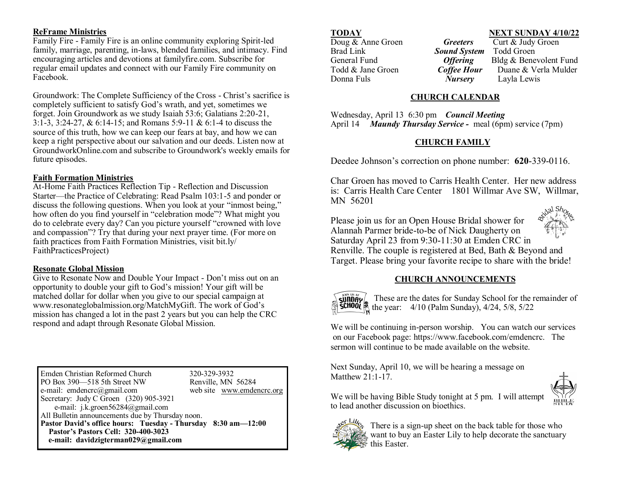#### **ReFrame Ministries**

Family Fire - Family Fire is an online community exploring Spirit-led family, marriage, parenting, in-laws, blended families, and intimacy. Find encouraging articles and devotions at familyfire.com. Subscribe for regular email updates and connect with our Family Fire community on Facebook.

Groundwork: The Complete Sufficiency of the Cross - Christ's sacrifice is completely sufficient to satisfy God's wrath, and yet, sometimes we forget. Join Groundwork as we study Isaiah 53:6; Galatians 2:20-21, 3:1-3, 3:24-27, & 6:14-15; and Romans 5:9-11 & 6:1-4 to discuss the source of this truth, how we can keep our fears at bay, and how we can keep a right perspective about our salvation and our deeds. Listen now at GroundworkOnline.com and subscribe to Groundwork's weekly emails for future episodes.

# **Faith Formation Ministries**

At-Home Faith Practices Reflection Tip - Reflection and Discussion Starter—the Practice of Celebrating: Read Psalm 103:1-5 and ponder or discuss the following questions. When you look at your "inmost being," how often do you find yourself in "celebration mode"? What might you do to celebrate every day? Can you picture yourself "crowned with love and compassion"? Try that during your next prayer time. (For more on faith practices from Faith Formation Ministries, visit bit.ly/ FaithPracticesProject)

# **Resonate Global Mission**

Give to Resonate Now and Double Your Impact - Don't miss out on an opportunity to double your gift to God's mission! Your gift will be matched dollar for dollar when you give to our special campaign at www.resonateglobalmission.org/MatchMyGift. The work of God's mission has changed a lot in the past 2 years but you can help the CRC respond and adapt through Resonate Global Mission.

Emden Christian Reformed Church 320-329-3932 PO Box 390–518 5th Street NW Renville, MN 56284 e-mail: emdencrc@gmail.com web site www.emdencrc.org Secretary: Judy C Groen (320) 905-3921 e-mail: j.k.groen56284@gmail.com All Bulletin announcements due by Thursday noon. **Pastor David's office hours: Tuesday - Thursday 8:30 am—12:00 Pastor's Pastors Cell: 320-400-3023 e-mail: davidzigterman029@gmail.com** 

**Doug & Anne Groen** *Greeters*<br>Brad Link *Sound Syste* Donna Fuls *Nursery* Layla Lewis

# **TODAY**<br>
Doug & Anne Groen<br> **Greeters**Curt & Judy Groen

**Sound System** Todd Groen General Fund *Offering* Bldg & Benevolent Fund Todd & Jane Groen *Coffee Hour* Duane & Verla Mulder

# **CHURCH CALENDAR**

Wednesday, April 13 6:30 pm *Council Meeting* April 14 *Maundy Thursday Service -* meal (6pm) service (7pm)

# **CHURCH FAMILY**

Deedee Johnson's correction on phone number: **620**-339-0116.

Char Groen has moved to Carris Health Center. Her new address is: Carris Health Care Center 1801 Willmar Ave SW, Willmar, MN 56201 idal Shou

Please join us for an Open House Bridal shower for Alannah Parmer bride-to-be of Nick Daugherty on Saturday April 23 from 9:30-11:30 at Emden CRC in Renville. The couple is registered at Bed, Bath & Beyond and Target. Please bring your favorite recipe to share with the bride!



# **CHURCH ANNOUNCEMENTS**



These are the dates for Sunday School for the remainder of **SCHOOL** the year:  $4/10$  (Palm Sunday),  $4/24$ ,  $5/8$ ,  $5/22$ 

We will be continuing in-person worship. You can watch our services on our Facebook page: https://www.facebook.com/emdencrc. The sermon will continue to be made available on the website.

Next Sunday, April 10, we will be hearing a message on Matthew 21:1-17.



We will be having Bible Study tonight at 5 pm. I will attempt to lead another discussion on bioethics.



There is a sign-up sheet on the back table for those who want to buy an Easter Lily to help decorate the sanctuary this Easter.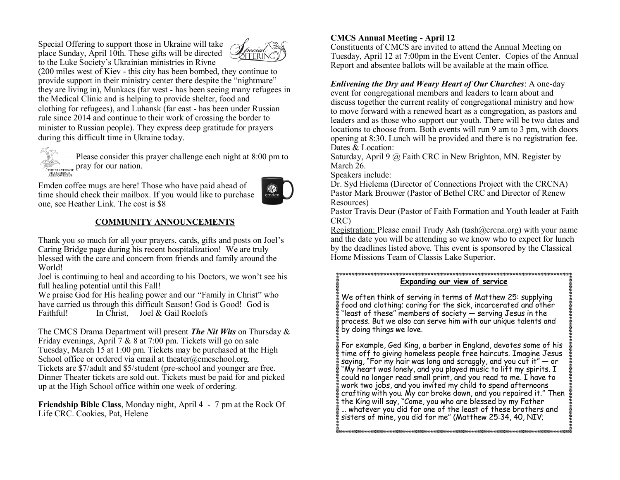Special Offering to support those in Ukraine will take place Sunday, April 10th. These gifts will be directed to the Luke Society's Ukrainian ministries in Rivne



(200 miles west of Kiev - this city has been bombed, they continue to provide support in their ministry center there despite the "nightmare" they are living in), Munkacs (far west - has been seeing many refugees in the Medical Clinic and is helping to provide shelter, food and clothing for refugees), and Luhansk (far east - has been under Russian rule since 2014 and continue to their work of crossing the border to minister to Russian people). They express deep gratitude for prayers during this difficult time in Ukraine today.



Please consider this prayer challenge each night at 8:00 pm to **PRAY FOR THE PRAY FRAY FOR STATE PRAY FOR STATE OF STATE OF STATE OF STATE OF STATE OF STATE OF STATE OF STATE**<br>THE PRAY FOUR END.

Emden coffee mugs are here! Those who have paid ahead of time should check their mailbox. If you would like to purchase one, see Heather Link. The cost is \$8



# **COMMUNITY ANNOUNCEMENTS**

Thank you so much for all your prayers, cards, gifts and posts on Joel's Caring Bridge page during his recent hospitalization! We are truly blessed with the care and concern from friends and family around the World!

Joel is continuing to heal and according to his Doctors, we won't see his full healing potential until this Fall!

We praise God for His healing power and our "Family in Christ" who have carried us through this difficult Season! God is Good! God is Faithful! In Christ, Joel & Gail Roelofs

The CMCS Drama Department will present *The Nit Wits* on Thursday & Friday evenings, April 7 & 8 at 7:00 pm. Tickets will go on sale Tuesday, March 15 at 1:00 pm. Tickets may be purchased at the High School office or ordered via email at theater@cmcschool.org. Tickets are \$7/adult and \$5/student (pre-school and younger are free. Dinner Theater tickets are sold out. Tickets must be paid for and picked up at the High School office within one week of ordering.

**Friendship Bible Class**, Monday night, April 4 - 7 pm at the Rock Of Life CRC. Cookies, Pat, Helene

# **CMCS Annual Meeting - April 12**

Constituents of CMCS are invited to attend the Annual Meeting on Tuesday, April 12 at 7:00pm in the Event Center. Copies of the Annual Report and absentee ballots will be available at the main office.

*Enlivening the Dry and Weary Heart of Our Churches*: A one-day event for congregational members and leaders to learn about and discuss together the current reality of congregational ministry and how to move forward with a renewed heart as a congregation, as pastors and leaders and as those who support our youth. There will be two dates and locations to choose from. Both events will run 9 am to 3 pm, with doors opening at 8:30. Lunch will be provided and there is no registration fee. Dates & Location:

Saturday, April 9 @ Faith CRC in New Brighton, MN. Register by March 26.

Speakers include:

Dr. Syd Hielema (Director of Connections Project with the CRCNA) Pastor Mark Brouwer (Pastor of Bethel CRC and Director of Renew Resources)

Pastor Travis Deur (Pastor of Faith Formation and Youth leader at Faith CRC)

Registration: Please email Trudy Ash (tash@crcna.org) with your name and the date you will be attending so we know who to expect for lunch by the deadlines listed above. This event is sponsored by the Classical Home Missions Team of Classis Lake Superior.

**Expanding our view of service**

We often think of serving in terms of Matthew 25: supplying food and clothing; caring for the sick, incarcerated and other "least of these" members of society — serving Jesus in the process. But we also can serve him with our unique talents and by doing things we love.

For example, Ged King, a barber in England, devotes some of his time off to giving homeless people free haircuts. Imagine Jesus saying, "For my hair was long and scraggly, and you cut it"  $-$  or "My heart was lonely, and you played music to lift my spirits. I could no longer read small print, and you read to me. I have to work two jobs, and you invited my child to spend afternoons crafting with you. My car broke down, and you repaired it." Then the King will say, "Come, you who are blessed by my Father … whatever you did for one of the least of these brothers and sisters of mine, you did for me" (Matthew 25:34, 40, NIV;